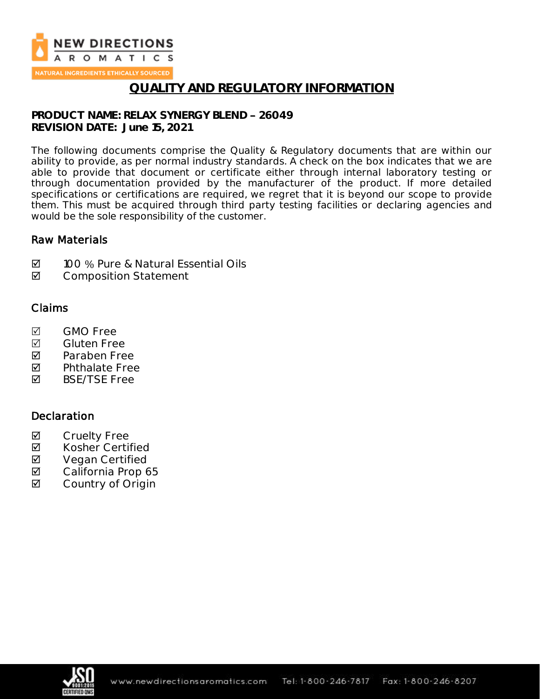

NATURAL INGREDIENTS ETHICALLY SOURCED

## **QUALITY AND REGULATORY INFORMATION**

**PRODUCT NAME: RELAX SYNERGY BLEND 26049 REVISION DATE: June 15, 2021**

The following documents comprise the Quality & Regulatory documents that are within our ability to provide, as per normal industry standards. A check on the box indicates that we are able to provide that document or certificate either through internal laboratory testing or through documentation provided by the manufacturer of the product. If more detailed specifications or certifications are required, we regret that it is beyond our scope to provide them. This must be acquired through third party testing facilities or declaring agencies and would be the sole responsibility of the customer.

### Raw Materials

- **Ø** 100 % Pure & Natural Essential Oils
- **Ø** Composition Statement

### Claims

- M<sub>GMO</sub> Free
- **Ø** Gluten Free
- **Z** Paraben Free
- $\nabla$  Phthalate Free<br>  $\nabla$  BSF/TSF Free
- BSE/TSE Free

### **Declaration**

- **Ø** Cruelty Free<br>**Ø** Kosher Certi
- Kosher Certified
- **Ø** Vegan Certified<br>**Ø** California Prop 6
- California Prop 65
- **☑** Country of Origin

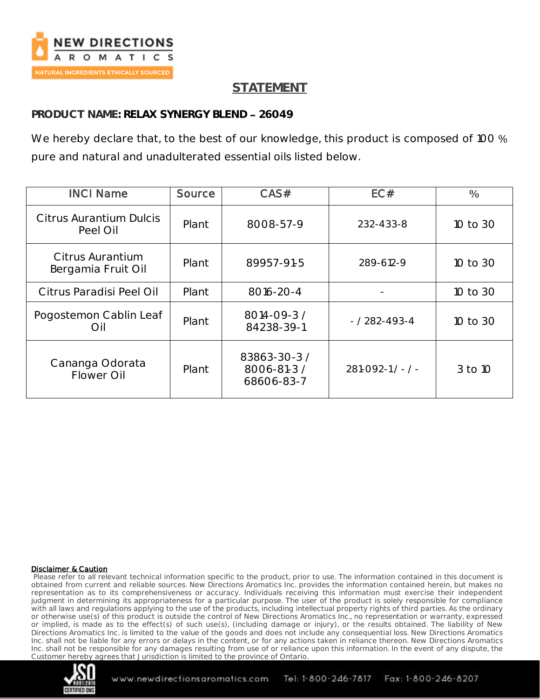

## **STATEMENT**

### **PRODUCT NAME: RELAX SYNERGY BLEND 26049**

We hereby declare that, to the best of our knowledge, this product is composed of 100 % pure and natural and unadulterated essential oils listed below.

| <b>INCI Name</b>                       | Source | CAS#                                      | EC#                 | $\frac{0}{0}$ |
|----------------------------------------|--------|-------------------------------------------|---------------------|---------------|
| Citrus Aurantium Dulcis<br>Peel Oil    | Plant  | 8008-57-9                                 | 232-433-8           | 10 to 30      |
| Citrus Aurantium<br>Bergamia Fruit Oil | Plant  | 89957-91-5                                | 289-612-9           | 10 to 30      |
| Citrus Paradisi Peel Oil               | Plant  | 8016-20-4                                 |                     | 10 to 30      |
| Pogostemon Cablin Leaf<br>Oil          | Plant  | 8014-09-3 /<br>84238-39-1                 | $- / 282 - 493 - 4$ | 10 to 30      |
| Cananga Odorata<br>Flower Oil          | Plant  | 83863-30-3 /<br>8006-81-3 /<br>68606-83-7 | $281 - 092 - 1 / -$ | 3 to 10       |

#### Disclaimer & Caution

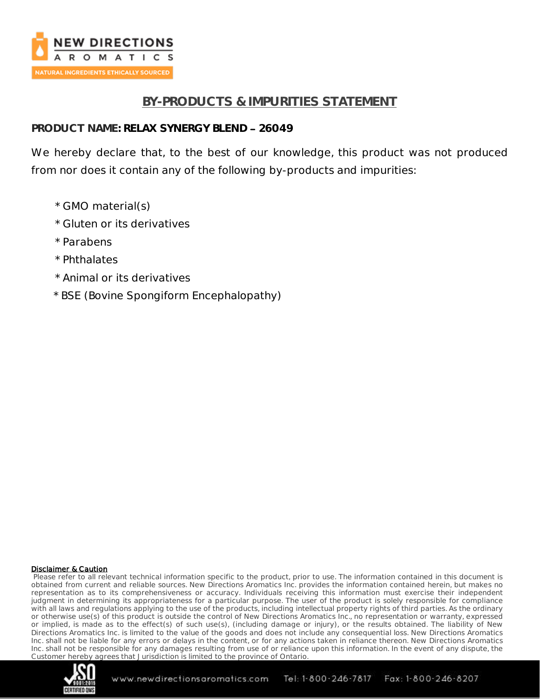

## **BY-PRODUCTS & IMPURITIES STATEMENT**

### PRODUCT NAME: RELAX SYNERGY BLEND - 26049

We hereby declare that, to the best of our knowledge, this product was not produced from nor does it contain any of the following by-products and impurities:

- \* GMO material(s)
- \* Gluten or its derivatives
- \* Parabens
- \* Phthalates
- \* Animal or its derivatives
- \* BSE (Bovine Spongiform Encephalopathy)

#### Disclaimer & Caution

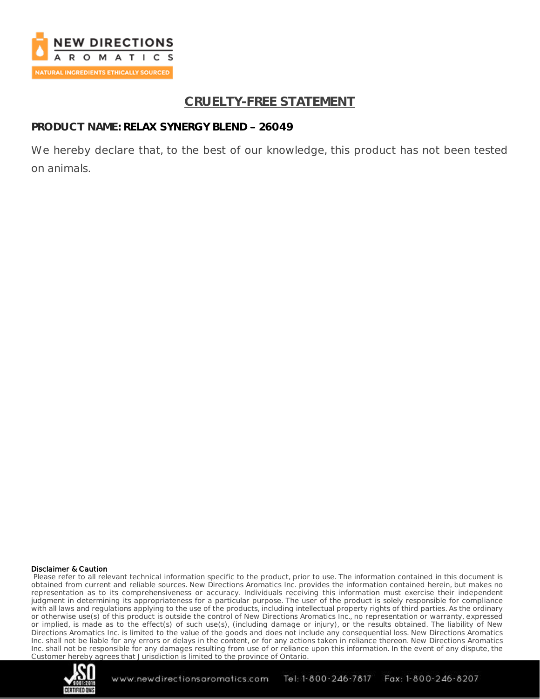

## **CRUELTY-FREE STATEMENT**

### PRODUCT NAME: RELAX SYNERGY BLEND - 26049

We hereby declare that, to the best of our knowledge, this product has not been tested on animals.

#### Disclaimer & Caution

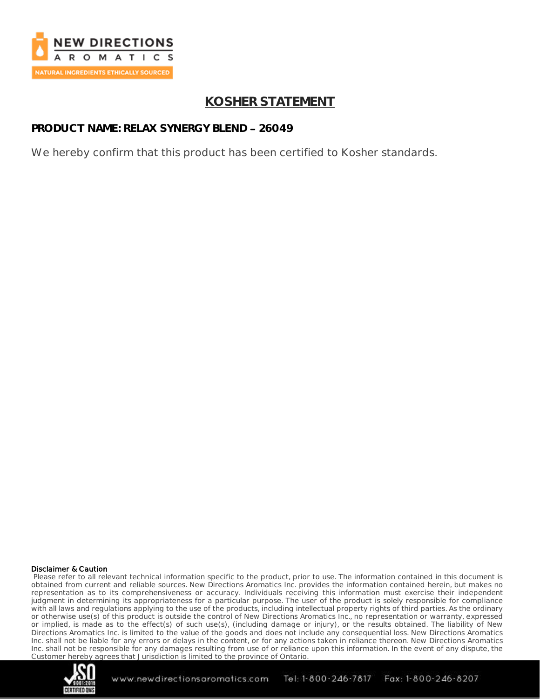

## **KOSHER STATEMENT**

## **PRODUCT NAME: RELAX SYNERGY BLEND 26049**

We hereby confirm that this product has been certified to Kosher standards.

#### Disclaimer & Caution

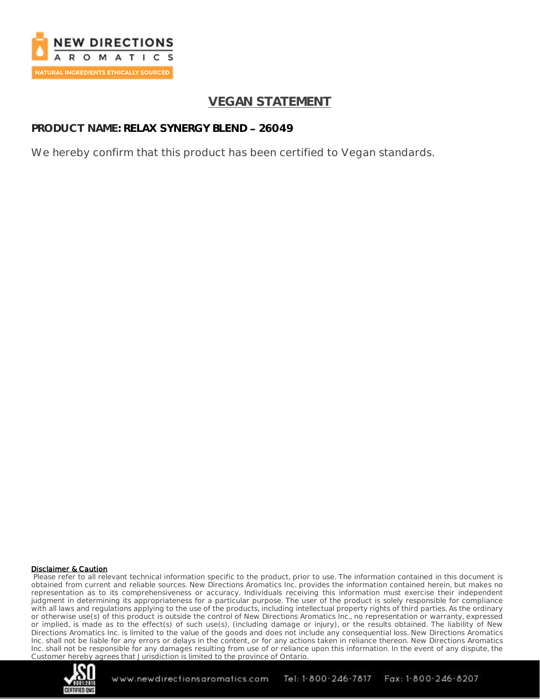

## **VEGAN STATEMENT**

## **PRODUCT NAME: RELAX SYNERGY BLEND 26049**

We hereby confirm that this product has been certified to Vegan standards.

#### Disclaimer & Caution

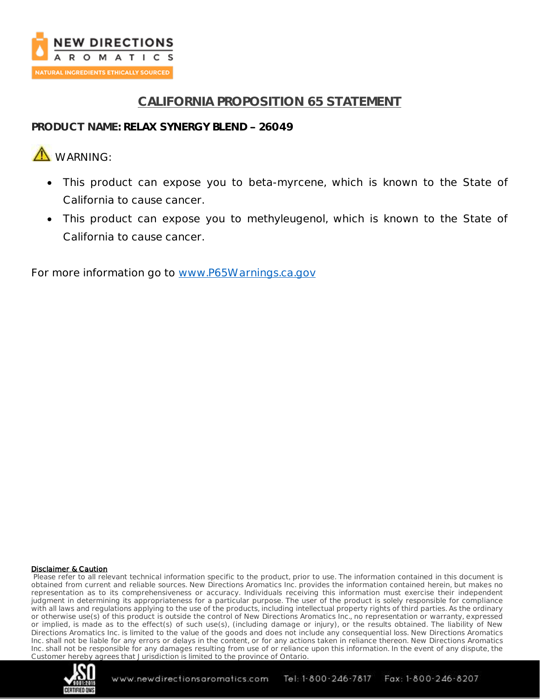

## **CALIFORNIA PROPOSITION 65 STATEMENT**

### **PRODUCT NAME: RELAX SYNERGY BLEND 26049**

# **A** WARNING

- This product can expose you to beta-myrcene, which is known to the State of California to cause cancer.
- This product can expose you to methyleugenol, which is known to the State of California to cause cancer.

For more information go to [www.P65Warnings.ca.gov](http://www.p65warnings.ca.gov/)

#### Disclaimer & Caution